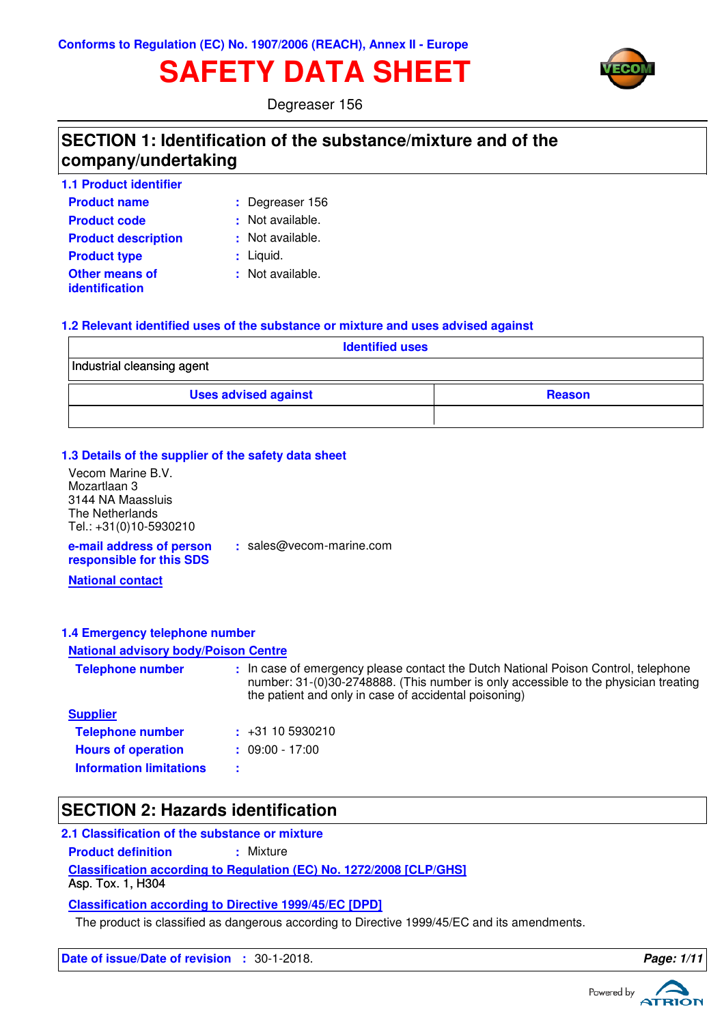# **SAFETY DATA SHEET**



Degreaser 156

### **SECTION 1: Identification of the substance/mixture and of the company/undertaking**

| <b>1.1 Product identifier</b>                  |                  |
|------------------------------------------------|------------------|
| <b>Product name</b>                            | : Degreaser 156  |
| <b>Product code</b>                            | : Not available. |
| <b>Product description</b>                     | : Not available. |
| <b>Product type</b>                            | : Liquid.        |
| <b>Other means of</b><br><b>identification</b> | : Not available. |

#### **1.2 Relevant identified uses of the substance or mixture and uses advised against**

**:** sales@vecom-marine.com

| <b>Identified uses</b>      |               |  |  |  |  |
|-----------------------------|---------------|--|--|--|--|
| Industrial cleansing agent  |               |  |  |  |  |
| <b>Uses advised against</b> | <b>Reason</b> |  |  |  |  |
|                             |               |  |  |  |  |

#### **1.3 Details of the supplier of the safety data sheet**

Vecom Marine B.V. Mozartlaan 3 3144 NA Maassluis The Netherlands Tel.: +31(0)10-5930210

**e-mail address of person responsible for this SDS**

**National contact**

#### **1.4 Emergency telephone number**

#### **National advisory body/Poison Centre**

| <b>Telephone number</b>        | : In case of emergency please contact the Dutch National Poison Control, telephone<br>number: 31-(0)30-2748888. (This number is only accessible to the physician treating<br>the patient and only in case of accidental poisoning) |
|--------------------------------|------------------------------------------------------------------------------------------------------------------------------------------------------------------------------------------------------------------------------------|
| <b>Supplier</b>                |                                                                                                                                                                                                                                    |
| <b>Telephone number</b>        | $\div$ +31 10 5930210                                                                                                                                                                                                              |
| <b>Hours of operation</b>      | $: 09:00 - 17:00$                                                                                                                                                                                                                  |
| <b>Information limitations</b> |                                                                                                                                                                                                                                    |

### **SECTION 2: Hazards identification**

#### **2.1 Classification of the substance or mixture**

**Product definition : Mixture** 

**Classification according to Regulation (EC) No. 1272/2008 [CLP/GHS]**

Asp. Tox. 1, H304

**Classification according to Directive 1999/45/EC [DPD]**

The product is classified as dangerous according to Directive 1999/45/EC and its amendments.

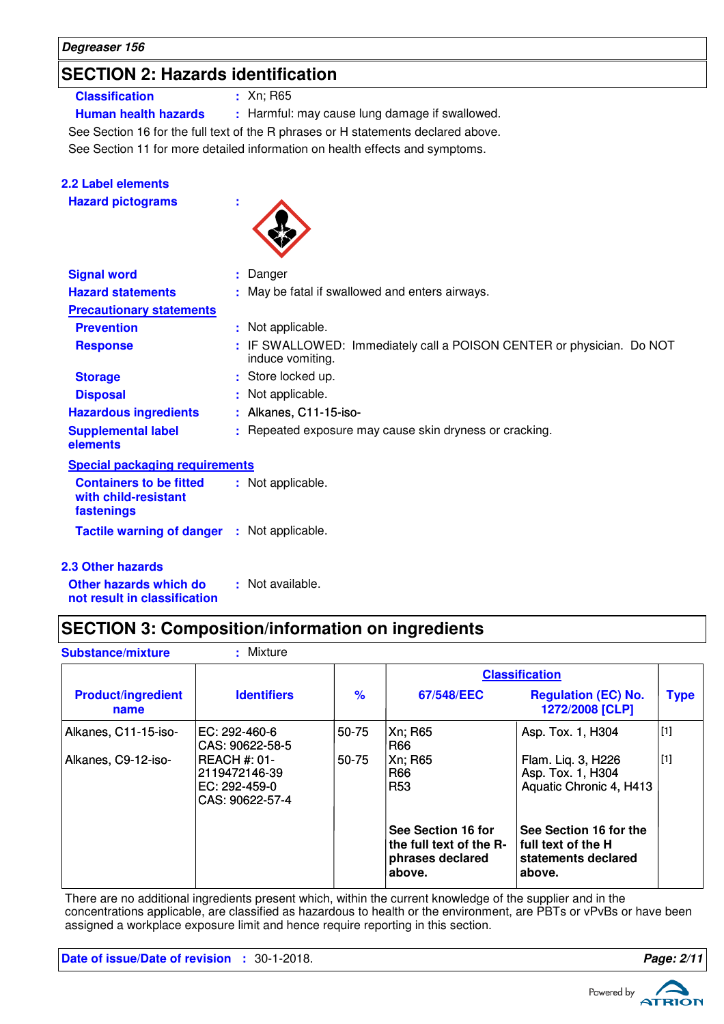### **SECTION 2: Hazards identification**

#### **Classification :** Xn; R65

**Human health hazards :** Harmful: may cause lung damage if swallowed.

See Section 11 for more detailed information on health effects and symptoms. See Section 16 for the full text of the R phrases or H statements declared above.

| <b>2.2 Label elements</b>                                            |                                                                                           |
|----------------------------------------------------------------------|-------------------------------------------------------------------------------------------|
| <b>Hazard pictograms</b>                                             |                                                                                           |
| <b>Signal word</b>                                                   | : Danger                                                                                  |
| <b>Hazard statements</b>                                             | : May be fatal if swallowed and enters airways.                                           |
| <b>Precautionary statements</b>                                      |                                                                                           |
| <b>Prevention</b>                                                    | : Not applicable.                                                                         |
| <b>Response</b>                                                      | : IF SWALLOWED: Immediately call a POISON CENTER or physician. Do NOT<br>induce vomiting. |
| <b>Storage</b>                                                       | : Store locked up.                                                                        |
| <b>Disposal</b>                                                      | : Not applicable.                                                                         |
| <b>Hazardous ingredients</b>                                         | : Alkanes, C11-15-iso-                                                                    |
| <b>Supplemental label</b><br>elements                                | : Repeated exposure may cause skin dryness or cracking.                                   |
| <b>Special packaging requirements</b>                                |                                                                                           |
| <b>Containers to be fitted</b><br>with child-resistant<br>fastenings | : Not applicable.                                                                         |
| <b>Tactile warning of danger</b>                                     | : Not applicable.                                                                         |

#### **2.3 Other hazards**

**Other hazards which do : not result in classification** : Not available.

### **SECTION 3: Composition/information on ingredients**

| <b>Substance/mixture</b>          | : Mixture                                                                 |               |                                                                             |                                                                                 |             |
|-----------------------------------|---------------------------------------------------------------------------|---------------|-----------------------------------------------------------------------------|---------------------------------------------------------------------------------|-------------|
|                                   |                                                                           |               |                                                                             | <b>Classification</b>                                                           |             |
| <b>Product/ingredient</b><br>name | <b>Identifiers</b>                                                        | $\frac{9}{6}$ | 67/548/EEC                                                                  | <b>Regulation (EC) No.</b><br>1272/2008 [CLP]                                   | <b>Type</b> |
| Alkanes, C11-15-iso-              | EC: 292-460-6<br>CAS: 90622-58-5                                          | 50-75         | Xn; R65<br>R66                                                              | Asp. Tox. 1, H304                                                               | $[1]$       |
| Alkanes, C9-12-iso-               | <b>REACH #: 01-</b><br>2119472146-39 <br>EC: 292-459-0<br>CAS: 90622-57-4 | 50-75         | Xn; R65<br>R66<br>R <sub>53</sub>                                           | Flam. Lig. 3, H226<br>Asp. Tox. 1, H304<br>Aquatic Chronic 4, H413              | $[1]$       |
|                                   |                                                                           |               | See Section 16 for<br>the full text of the R-<br>phrases declared<br>above. | See Section 16 for the<br>I full text of the H<br>statements declared<br>above. |             |

There are no additional ingredients present which, within the current knowledge of the supplier and in the concentrations applicable, are classified as hazardous to health or the environment, are PBTs or vPvBs or have been assigned a workplace exposure limit and hence require reporting in this section.

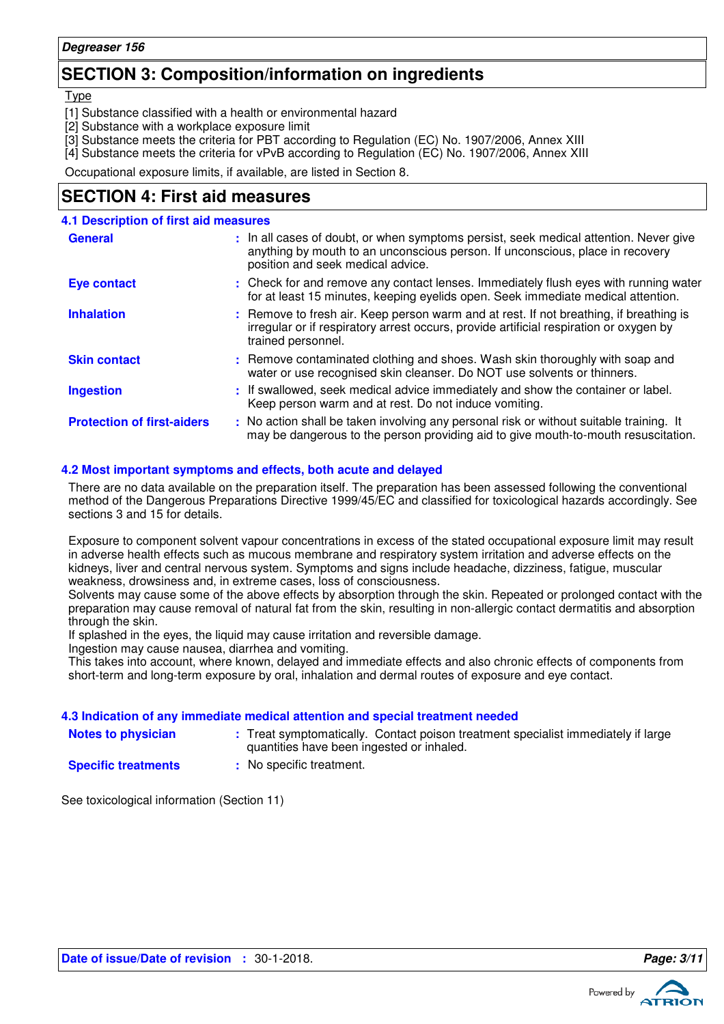### **SECTION 3: Composition/information on ingredients**

**Type** 

- [1] Substance classified with a health or environmental hazard
- [2] Substance with a workplace exposure limit
- [3] Substance meets the criteria for PBT according to Regulation (EC) No. 1907/2006, Annex XIII
- [4] Substance meets the criteria for vPvB according to Regulation (EC) No. 1907/2006, Annex XIII

Occupational exposure limits, if available, are listed in Section 8.

### **SECTION 4: First aid measures**

| <b>4.1 Description of first aid measures</b> |                                                                                                                                                                                                             |
|----------------------------------------------|-------------------------------------------------------------------------------------------------------------------------------------------------------------------------------------------------------------|
| <b>General</b>                               | : In all cases of doubt, or when symptoms persist, seek medical attention. Never give<br>anything by mouth to an unconscious person. If unconscious, place in recovery<br>position and seek medical advice. |
| <b>Eye contact</b>                           | : Check for and remove any contact lenses. Immediately flush eyes with running water<br>for at least 15 minutes, keeping eyelids open. Seek immediate medical attention.                                    |
| <b>Inhalation</b>                            | : Remove to fresh air. Keep person warm and at rest. If not breathing, if breathing is<br>irregular or if respiratory arrest occurs, provide artificial respiration or oxygen by<br>trained personnel.      |
| <b>Skin contact</b>                          | : Remove contaminated clothing and shoes. Wash skin thoroughly with soap and<br>water or use recognised skin cleanser. Do NOT use solvents or thinners.                                                     |
| <b>Ingestion</b>                             | : If swallowed, seek medical advice immediately and show the container or label.<br>Keep person warm and at rest. Do not induce vomiting.                                                                   |
| <b>Protection of first-aiders</b>            | : No action shall be taken involving any personal risk or without suitable training. It<br>may be dangerous to the person providing aid to give mouth-to-mouth resuscitation.                               |

#### **4.2 Most important symptoms and effects, both acute and delayed**

There are no data available on the preparation itself. The preparation has been assessed following the conventional method of the Dangerous Preparations Directive 1999/45/EC and classified for toxicological hazards accordingly. See sections 3 and 15 for details.

Exposure to component solvent vapour concentrations in excess of the stated occupational exposure limit may result in adverse health effects such as mucous membrane and respiratory system irritation and adverse effects on the kidneys, liver and central nervous system. Symptoms and signs include headache, dizziness, fatigue, muscular weakness, drowsiness and, in extreme cases, loss of consciousness.

Solvents may cause some of the above effects by absorption through the skin. Repeated or prolonged contact with the preparation may cause removal of natural fat from the skin, resulting in non-allergic contact dermatitis and absorption through the skin.

If splashed in the eyes, the liquid may cause irritation and reversible damage.

Ingestion may cause nausea, diarrhea and vomiting.

This takes into account, where known, delayed and immediate effects and also chronic effects of components from short-term and long-term exposure by oral, inhalation and dermal routes of exposure and eye contact.

#### **4.3 Indication of any immediate medical attention and special treatment needed**

| <b>Notes to physician</b> |
|---------------------------|
| On a alfla dua abas suda  |

- **Notes to physician** : Treat symptomatically. Contact poison treatment specialist immediately if large quantities have been ingested or inhaled.
- **Specific treatments**
- **:** No specific treatment.

See toxicological information (Section 11)

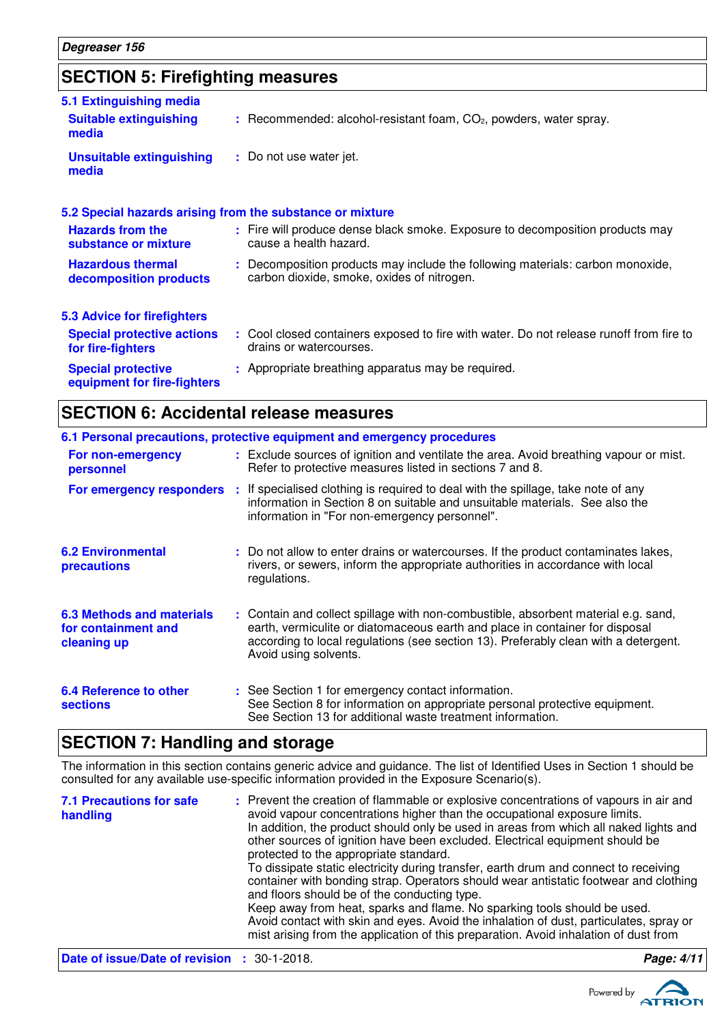## **SECTION 5: Firefighting measures**

| 5.1 Extinguishing media                                   |                                                                                                                              |
|-----------------------------------------------------------|------------------------------------------------------------------------------------------------------------------------------|
| <b>Suitable extinguishing</b><br>media                    | : Recommended: alcohol-resistant foam, CO <sub>2</sub> , powders, water spray.                                               |
| <b>Unsuitable extinguishing</b><br>media                  | : Do not use water jet.                                                                                                      |
| 5.2 Special hazards arising from the substance or mixture |                                                                                                                              |
| <b>Hazards from the</b><br>substance or mixture           | : Fire will produce dense black smoke. Exposure to decomposition products may<br>cause a health hazard.                      |
| <b>Hazardous thermal</b><br>decomposition products        | : Decomposition products may include the following materials: carbon monoxide,<br>carbon dioxide, smoke, oxides of nitrogen. |
| <b>5.3 Advice for firefighters</b>                        |                                                                                                                              |
| <b>Special protective actions</b><br>for fire-fighters    | : Cool closed containers exposed to fire with water. Do not release runoff from fire to<br>drains or watercourses.           |
| <b>Special protective</b><br>equipment for fire-fighters  | : Appropriate breathing apparatus may be required.                                                                           |

### **SECTION 6: Accidental release measures**

|                                                                        | 6.1 Personal precautions, protective equipment and emergency procedures                                                                                                                                                                                                            |
|------------------------------------------------------------------------|------------------------------------------------------------------------------------------------------------------------------------------------------------------------------------------------------------------------------------------------------------------------------------|
| For non-emergency<br>personnel                                         | : Exclude sources of ignition and ventilate the area. Avoid breathing vapour or mist.<br>Refer to protective measures listed in sections 7 and 8.                                                                                                                                  |
| For emergency responders                                               | : If specialised clothing is required to deal with the spillage, take note of any<br>information in Section 8 on suitable and unsuitable materials. See also the<br>information in "For non-emergency personnel".                                                                  |
| <b>6.2 Environmental</b><br>precautions                                | : Do not allow to enter drains or watercourses. If the product contaminates lakes,<br>rivers, or sewers, inform the appropriate authorities in accordance with local<br>regulations.                                                                                               |
| <b>6.3 Methods and materials</b><br>for containment and<br>cleaning up | : Contain and collect spillage with non-combustible, absorbent material e.g. sand,<br>earth, vermiculite or diatomaceous earth and place in container for disposal<br>according to local regulations (see section 13). Preferably clean with a detergent.<br>Avoid using solvents. |
| 6.4 Reference to other<br><b>sections</b>                              | : See Section 1 for emergency contact information.<br>See Section 8 for information on appropriate personal protective equipment.<br>See Section 13 for additional waste treatment information.                                                                                    |

### **SECTION 7: Handling and storage**

The information in this section contains generic advice and guidance. The list of Identified Uses in Section 1 should be consulted for any available use-specific information provided in the Exposure Scenario(s).

| <b>7.1 Precautions for safe</b><br>handling        | : Prevent the creation of flammable or explosive concentrations of vapours in air and<br>avoid vapour concentrations higher than the occupational exposure limits.<br>In addition, the product should only be used in areas from which all naked lights and<br>other sources of ignition have been excluded. Electrical equipment should be<br>protected to the appropriate standard.<br>To dissipate static electricity during transfer, earth drum and connect to receiving<br>container with bonding strap. Operators should wear antistatic footwear and clothing<br>and floors should be of the conducting type.<br>Keep away from heat, sparks and flame. No sparking tools should be used.<br>Avoid contact with skin and eyes. Avoid the inhalation of dust, particulates, spray or<br>mist arising from the application of this preparation. Avoid inhalation of dust from |            |
|----------------------------------------------------|-------------------------------------------------------------------------------------------------------------------------------------------------------------------------------------------------------------------------------------------------------------------------------------------------------------------------------------------------------------------------------------------------------------------------------------------------------------------------------------------------------------------------------------------------------------------------------------------------------------------------------------------------------------------------------------------------------------------------------------------------------------------------------------------------------------------------------------------------------------------------------------|------------|
| <b>Date of issue/Date of revision : 30-1-2018.</b> |                                                                                                                                                                                                                                                                                                                                                                                                                                                                                                                                                                                                                                                                                                                                                                                                                                                                                     | Page: 4/11 |

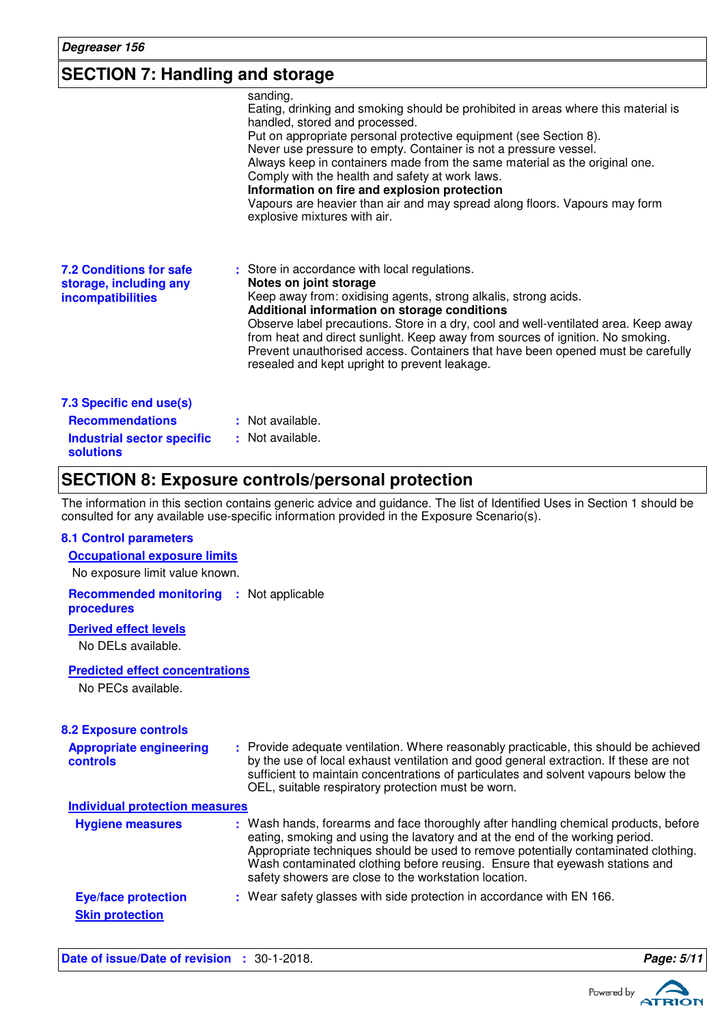### **SECTION 7: Handling and storage**

|                                                                                                            | sanding.<br>Eating, drinking and smoking should be prohibited in areas where this material is<br>handled, stored and processed.<br>Put on appropriate personal protective equipment (see Section 8).<br>Never use pressure to empty. Container is not a pressure vessel.<br>Always keep in containers made from the same material as the original one.<br>Comply with the health and safety at work laws.<br>Information on fire and explosion protection<br>Vapours are heavier than air and may spread along floors. Vapours may form<br>explosive mixtures with air. |
|------------------------------------------------------------------------------------------------------------|-------------------------------------------------------------------------------------------------------------------------------------------------------------------------------------------------------------------------------------------------------------------------------------------------------------------------------------------------------------------------------------------------------------------------------------------------------------------------------------------------------------------------------------------------------------------------|
| <b>7.2 Conditions for safe</b><br>storage, including any<br>incompatibilities                              | : Store in accordance with local regulations.<br>Notes on joint storage<br>Keep away from: oxidising agents, strong alkalis, strong acids.<br>Additional information on storage conditions<br>Observe label precautions. Store in a dry, cool and well-ventilated area. Keep away<br>from heat and direct sunlight. Keep away from sources of ignition. No smoking.<br>Prevent unauthorised access. Containers that have been opened must be carefully<br>resealed and kept upright to prevent leakage.                                                                 |
| 7.3 Specific end use(s)<br><b>Recommendations</b><br><b>Industrial sector specific</b><br><b>solutions</b> | : Not available.<br>: Not available.                                                                                                                                                                                                                                                                                                                                                                                                                                                                                                                                    |

### **SECTION 8: Exposure controls/personal protection**

The information in this section contains generic advice and guidance. The list of Identified Uses in Section 1 should be consulted for any available use-specific information provided in the Exposure Scenario(s).

#### **8.1 Control parameters**

| <b>Occupational exposure limits</b> |  |
|-------------------------------------|--|
| No exposure limit value known.      |  |

**Recommended monitoring :** Not applicable **procedures**

#### **Derived effect levels**

No DELs available.

#### **Predicted effect concentrations**

No PECs available.

| <b>8.2 Exposure controls</b>                         |                                                                                                                                                                                                                                                                                                                                                                                                   |
|------------------------------------------------------|---------------------------------------------------------------------------------------------------------------------------------------------------------------------------------------------------------------------------------------------------------------------------------------------------------------------------------------------------------------------------------------------------|
| <b>Appropriate engineering</b><br>controls           | : Provide adequate ventilation. Where reasonably practicable, this should be achieved<br>by the use of local exhaust ventilation and good general extraction. If these are not<br>sufficient to maintain concentrations of particulates and solvent vapours below the<br>OEL, suitable respiratory protection must be worn.                                                                       |
| <b>Individual protection measures</b>                |                                                                                                                                                                                                                                                                                                                                                                                                   |
| <b>Hygiene measures</b>                              | : Wash hands, forearms and face thoroughly after handling chemical products, before<br>eating, smoking and using the lavatory and at the end of the working period.<br>Appropriate techniques should be used to remove potentially contaminated clothing.<br>Wash contaminated clothing before reusing. Ensure that eyewash stations and<br>safety showers are close to the workstation location. |
| <b>Eye/face protection</b><br><b>Skin protection</b> | : Wear safety glasses with side protection in accordance with EN 166.                                                                                                                                                                                                                                                                                                                             |

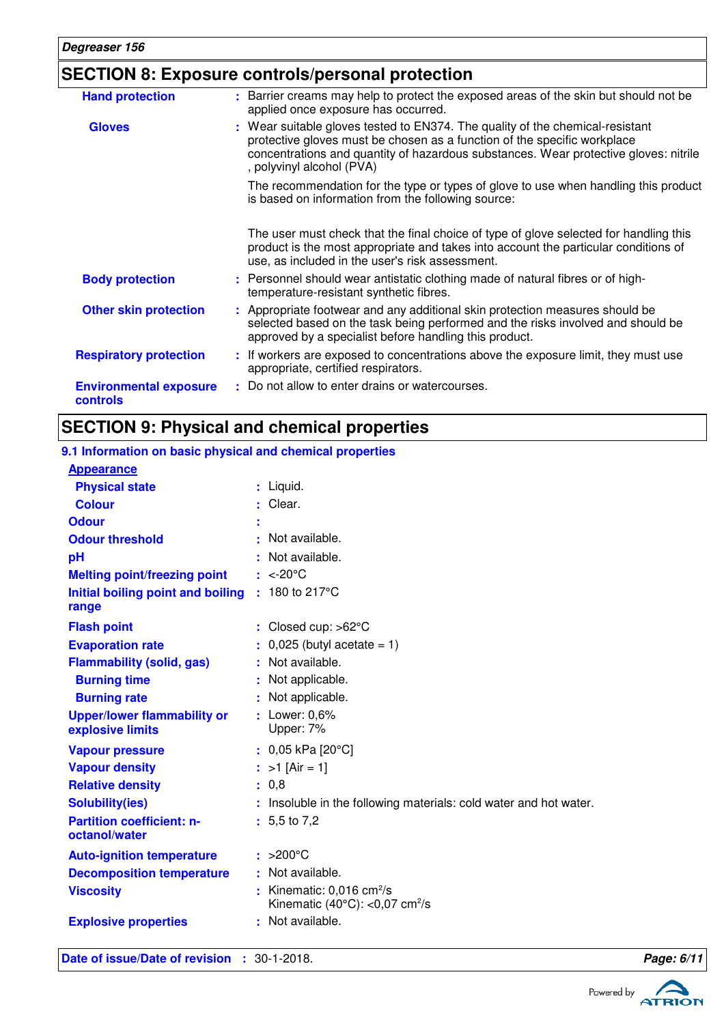### **SECTION 8: Exposure controls/personal protection**

| <b>Hand protection</b>                    | : Barrier creams may help to protect the exposed areas of the skin but should not be<br>applied once exposure has occurred.                                                                                                                                                    |
|-------------------------------------------|--------------------------------------------------------------------------------------------------------------------------------------------------------------------------------------------------------------------------------------------------------------------------------|
| <b>Gloves</b>                             | : Wear suitable gloves tested to EN374. The quality of the chemical-resistant<br>protective gloves must be chosen as a function of the specific workplace<br>concentrations and quantity of hazardous substances. Wear protective gloves: nitrile<br>, polyvinyl alcohol (PVA) |
|                                           | The recommendation for the type or types of glove to use when handling this product<br>is based on information from the following source:                                                                                                                                      |
|                                           | The user must check that the final choice of type of glove selected for handling this<br>product is the most appropriate and takes into account the particular conditions of<br>use, as included in the user's risk assessment.                                                |
| <b>Body protection</b>                    | : Personnel should wear antistatic clothing made of natural fibres or of high-<br>temperature-resistant synthetic fibres.                                                                                                                                                      |
| <b>Other skin protection</b>              | : Appropriate footwear and any additional skin protection measures should be<br>selected based on the task being performed and the risks involved and should be<br>approved by a specialist before handling this product.                                                      |
| <b>Respiratory protection</b>             | : If workers are exposed to concentrations above the exposure limit, they must use<br>appropriate, certified respirators.                                                                                                                                                      |
| <b>Environmental exposure</b><br>controls | : Do not allow to enter drains or watercourses.                                                                                                                                                                                                                                |

### **SECTION 9: Physical and chemical properties**

#### **Initial boiling point and boiling : 180 to 217°C Physical state Melting point/freezing point range Vapour pressure Relative density Vapour density Solubility(ies)** Liquid. **:** <-20°C **:** 0,8 **:** >1 [Air = 1] **:** 0,05 kPa [20°C] **:** : Insoluble in the following materials: cold water and hot water. **Odour pH Colour** : Clear. **Evaporation rate**  $\qquad \qquad$  : 0,025 (butyl acetate = 1) **Auto-ignition temperature Flash point** >200°C **:** Closed cup: >62°C **:** Lower: 0,6% **:** Upper: 7% Not available. **:** 5,5 to 7,2 **:** Not available. **: Viscosity Constitution Constitution Constitution Constitution Constitution Constitution Constitution Constitution Constitution Constitution Constitution Constitution Constitution Constitution Constitution Constitution C** Kinematic  $(40^{\circ}$ C $):$  <0,07 cm<sup>2</sup>/s **Odour threshold Partition coefficient: noctanol/water Upper/lower flammability or explosive limits Explosive properties :** : Not available. **9.1 Information on basic physical and chemical properties Appearance Burning time** : Not applicable. **Burning rate contract to the CO contract is Not applicable. Decomposition temperature :** Not available. **Flammability (solid, gas) :** Not available.

**Date of issue/Date of revision :** 30-1-2018. **Page: 6/11**

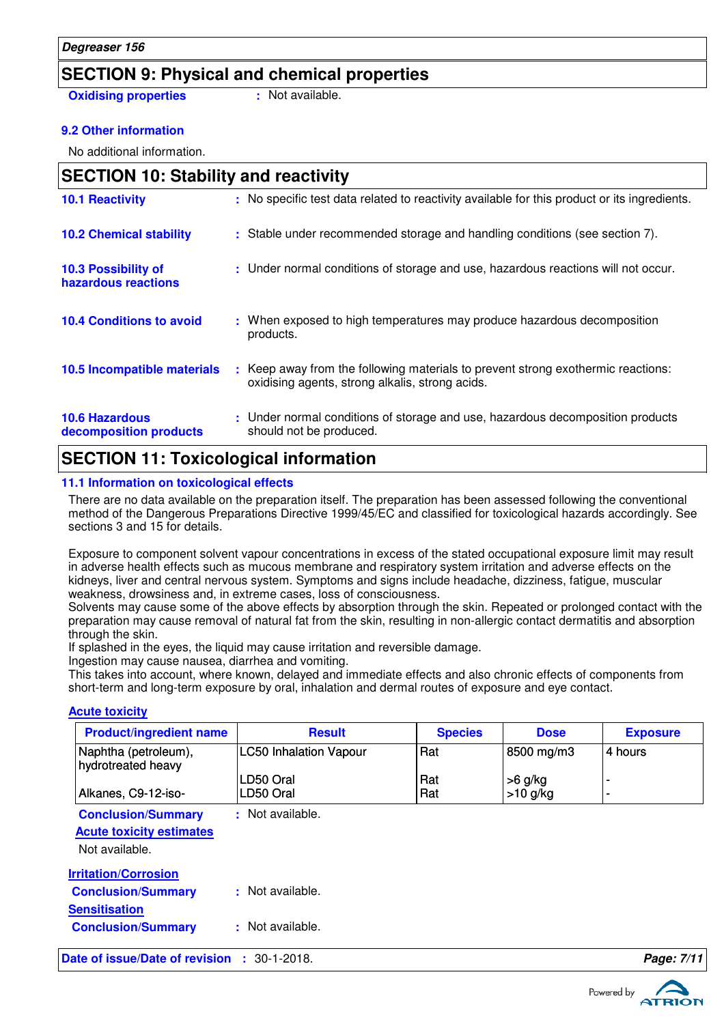### **SECTION 9: Physical and chemical properties**

**Oxidising properties : Not available.** 

#### **9.2 Other information**

No additional information.

| <b>SECTION 10: Stability and reactivity</b>     |                                                                                                                                     |
|-------------------------------------------------|-------------------------------------------------------------------------------------------------------------------------------------|
| <b>10.1 Reactivity</b>                          | : No specific test data related to reactivity available for this product or its ingredients.                                        |
| <b>10.2 Chemical stability</b>                  | : Stable under recommended storage and handling conditions (see section 7).                                                         |
| 10.3 Possibility of<br>hazardous reactions      | : Under normal conditions of storage and use, hazardous reactions will not occur.                                                   |
| <b>10.4 Conditions to avoid</b>                 | : When exposed to high temperatures may produce hazardous decomposition<br>products.                                                |
| 10.5 Incompatible materials                     | : Keep away from the following materials to prevent strong exothermic reactions:<br>oxidising agents, strong alkalis, strong acids. |
| <b>10.6 Hazardous</b><br>decomposition products | : Under normal conditions of storage and use, hazardous decomposition products<br>should not be produced.                           |

### **SECTION 11: Toxicological information**

#### **11.1 Information on toxicological effects**

There are no data available on the preparation itself. The preparation has been assessed following the conventional method of the Dangerous Preparations Directive 1999/45/EC and classified for toxicological hazards accordingly. See sections 3 and 15 for details.

Exposure to component solvent vapour concentrations in excess of the stated occupational exposure limit may result in adverse health effects such as mucous membrane and respiratory system irritation and adverse effects on the kidneys, liver and central nervous system. Symptoms and signs include headache, dizziness, fatigue, muscular weakness, drowsiness and, in extreme cases, loss of consciousness.

Solvents may cause some of the above effects by absorption through the skin. Repeated or prolonged contact with the preparation may cause removal of natural fat from the skin, resulting in non-allergic contact dermatitis and absorption through the skin.

If splashed in the eyes, the liquid may cause irritation and reversible damage.

Ingestion may cause nausea, diarrhea and vomiting.

This takes into account, where known, delayed and immediate effects and also chronic effects of components from short-term and long-term exposure by oral, inhalation and dermal routes of exposure and eye contact.

#### **Acute toxicity**

| <b>Product/ingredient name</b>              | <b>Result</b>                 | <b>Species</b> | <b>Dose</b> | <b>Exposure</b>          |
|---------------------------------------------|-------------------------------|----------------|-------------|--------------------------|
| Naphtha (petroleum),<br>hydrotreated heavy  | <b>LC50 Inhalation Vapour</b> | Rat            | 8500 mg/m3  | 4 hours                  |
|                                             | LD50 Oral                     | Rat            | $>6$ g/kg   |                          |
| Alkanes, C9-12-iso-                         | LD50 Oral                     | Rat            | $>10$ g/kg  | $\overline{\phantom{a}}$ |
| <b>Conclusion/Summary</b>                   | : Not available.              |                |             |                          |
| <b>Acute toxicity estimates</b>             |                               |                |             |                          |
| Not available.                              |                               |                |             |                          |
| <b>Irritation/Corrosion</b>                 |                               |                |             |                          |
| <b>Conclusion/Summary</b>                   | : Not available.              |                |             |                          |
| <b>Sensitisation</b>                        |                               |                |             |                          |
| <b>Conclusion/Summary</b>                   | : Not available.              |                |             |                          |
| Date of issue/Date of revision : 30-1-2018. |                               |                |             | Page: 7/11               |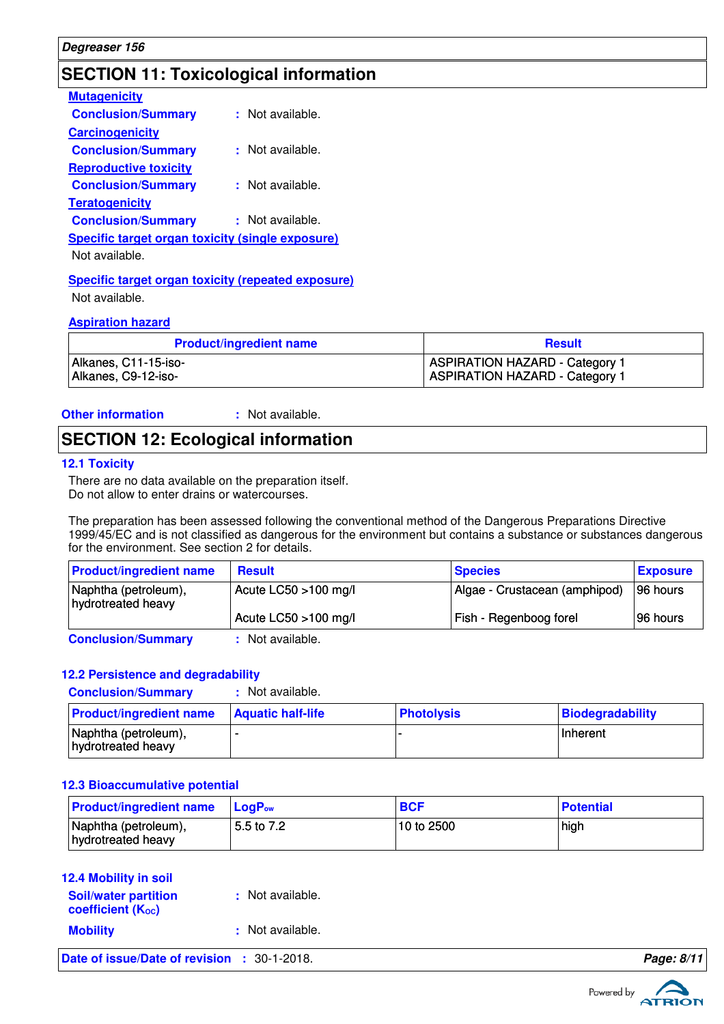### **SECTION 11: Toxicological information**

| <b>Mutagenicity</b>                                     |                      |
|---------------------------------------------------------|----------------------|
| <b>Conclusion/Summary</b>                               | : Not available.     |
| <b>Carcinogenicity</b>                                  |                      |
| <b>Conclusion/Summary</b>                               | $\pm$ Not available. |
| <b>Reproductive toxicity</b>                            |                      |
| <b>Conclusion/Summary</b>                               | : Not available.     |
| <b>Teratogenicity</b>                                   |                      |
| <b>Conclusion/Summary</b>                               | : Not available.     |
| <b>Specific target organ toxicity (single exposure)</b> |                      |
| Not available.                                          |                      |
|                                                         |                      |

**Specific target organ toxicity (repeated exposure)** Not available.

#### **Aspiration hazard**

| <b>Product/ingredient name</b> | <b>Result</b>                         |
|--------------------------------|---------------------------------------|
| Alkanes, C11-15-iso-           | <b>ASPIRATION HAZARD - Category 1</b> |
| Alkanes, C9-12-iso-            | <b>ASPIRATION HAZARD - Category 1</b> |

**Other information :** : Not available.

### **SECTION 12: Ecological information**

#### **12.1 Toxicity**

There are no data available on the preparation itself. Do not allow to enter drains or watercourses.

The preparation has been assessed following the conventional method of the Dangerous Preparations Directive 1999/45/EC and is not classified as dangerous for the environment but contains a substance or substances dangerous for the environment. See section 2 for details.

| <b>Product/ingredient name</b>             | <b>Result</b>           | <b>Species</b>                | <b>Exposure</b> |
|--------------------------------------------|-------------------------|-------------------------------|-----------------|
| Naphtha (petroleum),<br>hydrotreated heavy | Acute $LC50 > 100$ mg/l | Algae - Crustacean (amphipod) | 96 hours        |
|                                            | Acute LC50 >100 mg/l    | Fish - Regenboog forel        | 96 hours        |
|                                            | Alberta - Alberta La    |                               |                 |

**Conclusion/Summary :** Not available.

#### **12.2 Persistence and degradability**

**Conclusion/Summary :** Not available.

| <b>Product/ingredient name</b>             | <b>Aquatic half-life</b> | <b>Photolysis</b> | Biodegradability |
|--------------------------------------------|--------------------------|-------------------|------------------|
| Naphtha (petroleum),<br>hydrotreated heavy |                          |                   | Inherent         |

#### **12.3 Bioaccumulative potential**

| <b>Product/ingredient name</b>             | <b>ILogP</b> <sub>ow</sub> | <b>BCF</b>   | <b>Potential</b> |
|--------------------------------------------|----------------------------|--------------|------------------|
| Naphtha (petroleum),<br>hydrotreated heavy | 5.5 to 7.2                 | l 10 to 2500 | high             |

| <b>12.4 Mobility in soil</b><br><b>Soil/water partition</b><br>coefficient $(K_{oc})$ | : Not available. |            |
|---------------------------------------------------------------------------------------|------------------|------------|
| <b>Mobility</b>                                                                       | : Not available. |            |
| Date of issue/Date of revision : 30-1-2018.                                           |                  | Page: 8/11 |

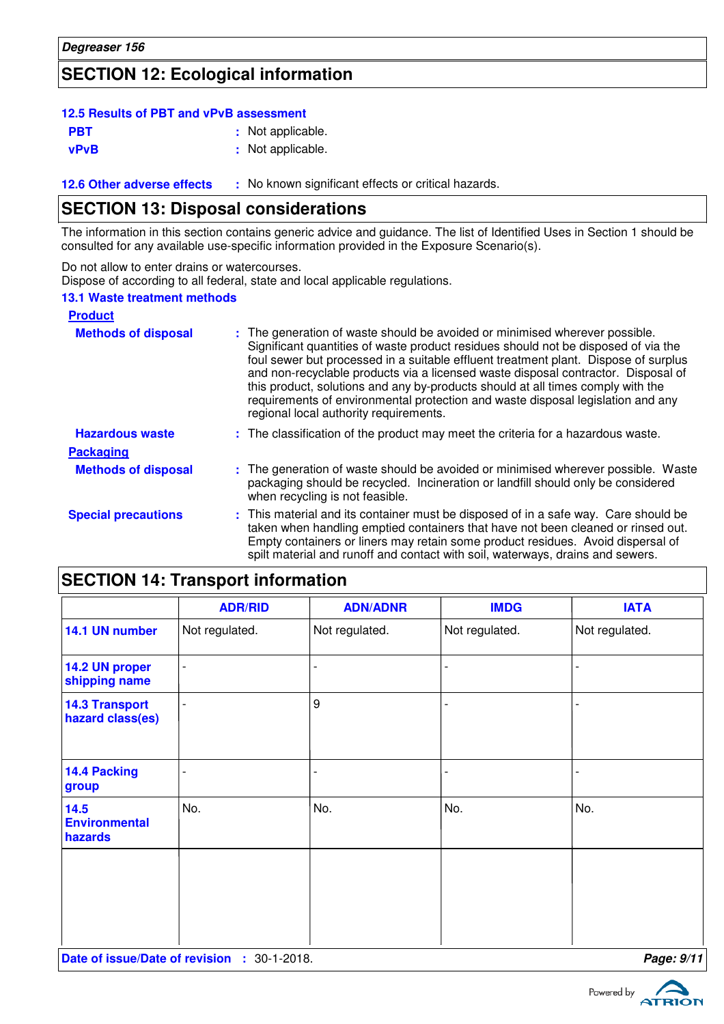### **SECTION 12: Ecological information**

### **12.5 Results of PBT and vPvB assessment**

| <b>PBT</b> | : Not applicable. |
|------------|-------------------|
| vPvB       | : Not applicable. |

**12.6 Other adverse effects** : No known significant effects or critical hazards.

### **SECTION 13: Disposal considerations**

The information in this section contains generic advice and guidance. The list of Identified Uses in Section 1 should be consulted for any available use-specific information provided in the Exposure Scenario(s).

Do not allow to enter drains or watercourses.

Dispose of according to all federal, state and local applicable regulations.

#### **13.1 Waste treatment methods**

| <b>Product</b>             |                                                                                                                                                                                                                                                                                                                                                                                                                                                                                                                                                               |
|----------------------------|---------------------------------------------------------------------------------------------------------------------------------------------------------------------------------------------------------------------------------------------------------------------------------------------------------------------------------------------------------------------------------------------------------------------------------------------------------------------------------------------------------------------------------------------------------------|
| <b>Methods of disposal</b> | : The generation of waste should be avoided or minimised wherever possible.<br>Significant quantities of waste product residues should not be disposed of via the<br>foul sewer but processed in a suitable effluent treatment plant. Dispose of surplus<br>and non-recyclable products via a licensed waste disposal contractor. Disposal of<br>this product, solutions and any by-products should at all times comply with the<br>requirements of environmental protection and waste disposal legislation and any<br>regional local authority requirements. |
| <b>Hazardous waste</b>     | : The classification of the product may meet the criteria for a hazardous waste.                                                                                                                                                                                                                                                                                                                                                                                                                                                                              |
| <b>Packaging</b>           |                                                                                                                                                                                                                                                                                                                                                                                                                                                                                                                                                               |
| <b>Methods of disposal</b> | : The generation of waste should be avoided or minimised wherever possible. Waste<br>packaging should be recycled. Incineration or landfill should only be considered<br>when recycling is not feasible.                                                                                                                                                                                                                                                                                                                                                      |
| <b>Special precautions</b> | : This material and its container must be disposed of in a safe way. Care should be<br>taken when handling emptied containers that have not been cleaned or rinsed out.<br>Empty containers or liners may retain some product residues. Avoid dispersal of<br>spilt material and runoff and contact with soil, waterways, drains and sewers.                                                                                                                                                                                                                  |

|  |  |  | <b>SECTION 14: Transport information</b> |
|--|--|--|------------------------------------------|
|--|--|--|------------------------------------------|

|                                           | <b>ADR/RID</b> | <b>ADN/ADNR</b> | <b>IMDG</b>    | <b>IATA</b>    |
|-------------------------------------------|----------------|-----------------|----------------|----------------|
| 14.1 UN number                            | Not regulated. | Not regulated.  | Not regulated. | Not regulated. |
| 14.2 UN proper<br>shipping name           | $\overline{a}$ |                 |                |                |
| <b>14.3 Transport</b><br>hazard class(es) | $\overline{a}$ | 9               |                |                |
| 14.4 Packing<br>group                     |                |                 |                |                |
| 14.5<br><b>Environmental</b><br>hazards   | No.            | No.             | No.            | No.            |
|                                           |                |                 |                |                |
|                                           |                |                 |                |                |

**Date of issue/Date of revision :** 30-1-2018. **Page: 9/11**

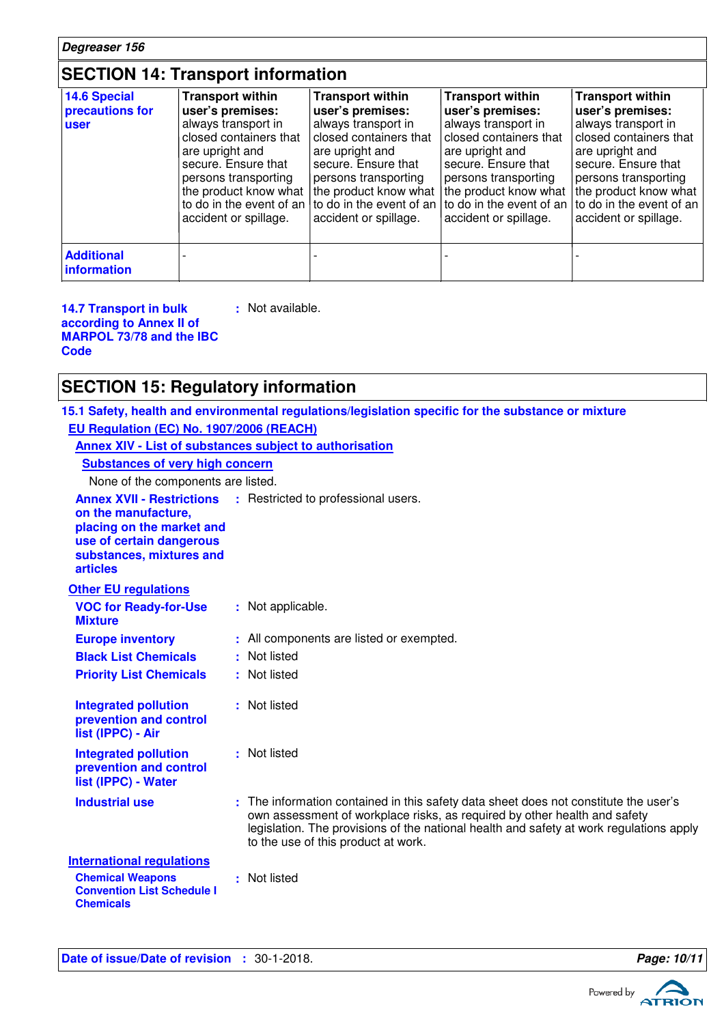### **SECTION 14: Transport information**

| 14.6 Special<br>precautions for<br><b>user</b> | <b>Transport within</b><br>user's premises:<br>always transport in<br>closed containers that<br>are upright and<br>secure. Ensure that<br>persons transporting<br>the product know what<br>accident or spillage. | <b>Transport within</b><br>user's premises:<br>always transport in<br>closed containers that<br>are upright and<br>secure. Ensure that<br>persons transporting<br>the product know what<br>to do in the event of an $\vert$ to do in the event of an<br>accident or spillage. | <b>Transport within</b><br>user's premises:<br>always transport in<br>closed containers that<br>are upright and<br>secure. Ensure that<br>persons transporting<br>the product know what<br>accident or spillage. | <b>Transport within</b><br>user's premises:<br>always transport in<br>closed containers that<br>are upright and<br>secure. Ensure that<br>persons transporting<br>the product know what<br>to do in the event of an to do in the event of an<br>accident or spillage. |
|------------------------------------------------|------------------------------------------------------------------------------------------------------------------------------------------------------------------------------------------------------------------|-------------------------------------------------------------------------------------------------------------------------------------------------------------------------------------------------------------------------------------------------------------------------------|------------------------------------------------------------------------------------------------------------------------------------------------------------------------------------------------------------------|-----------------------------------------------------------------------------------------------------------------------------------------------------------------------------------------------------------------------------------------------------------------------|
| <b>Additional</b><br>information               |                                                                                                                                                                                                                  |                                                                                                                                                                                                                                                                               |                                                                                                                                                                                                                  |                                                                                                                                                                                                                                                                       |

**14.7 Transport in bulk according to Annex II of MARPOL 73/78 and the IBC Code :** Not available.

### **SECTION 15: Regulatory information**

**15.1 Safety, health and environmental regulations/legislation specific for the substance or mixture**

| EU Regulation (EC) No. 1907/2006 (REACH)                                                                                    |                                                                                                                                                                                                                                                                                                     |
|-----------------------------------------------------------------------------------------------------------------------------|-----------------------------------------------------------------------------------------------------------------------------------------------------------------------------------------------------------------------------------------------------------------------------------------------------|
|                                                                                                                             | Annex XIV - List of substances subject to authorisation                                                                                                                                                                                                                                             |
| <b>Substances of very high concern</b>                                                                                      |                                                                                                                                                                                                                                                                                                     |
| None of the components are listed.                                                                                          |                                                                                                                                                                                                                                                                                                     |
| on the manufacture,<br>placing on the market and<br>use of certain dangerous<br>substances, mixtures and<br><b>articles</b> | <b>Annex XVII - Restrictions :</b> Restricted to professional users.                                                                                                                                                                                                                                |
| <b>Other EU regulations</b>                                                                                                 |                                                                                                                                                                                                                                                                                                     |
| <b>VOC for Ready-for-Use</b><br><b>Mixture</b>                                                                              | : Not applicable.                                                                                                                                                                                                                                                                                   |
| <b>Europe inventory</b>                                                                                                     | : All components are listed or exempted.                                                                                                                                                                                                                                                            |
| <b>Black List Chemicals</b>                                                                                                 | : Not listed                                                                                                                                                                                                                                                                                        |
| <b>Priority List Chemicals</b>                                                                                              | : Not listed                                                                                                                                                                                                                                                                                        |
| <b>Integrated pollution</b><br>prevention and control<br>list (IPPC) - Air                                                  | : Not listed                                                                                                                                                                                                                                                                                        |
| <b>Integrated pollution</b><br>prevention and control<br>list (IPPC) - Water                                                | : Not listed                                                                                                                                                                                                                                                                                        |
| <b>Industrial use</b>                                                                                                       | : The information contained in this safety data sheet does not constitute the user's<br>own assessment of workplace risks, as required by other health and safety<br>legislation. The provisions of the national health and safety at work regulations apply<br>to the use of this product at work. |
| <b>International regulations</b><br><b>Chemical Weapons</b><br><b>Convention List Schedule I</b><br><b>Chemicals</b>        | : Not listed                                                                                                                                                                                                                                                                                        |